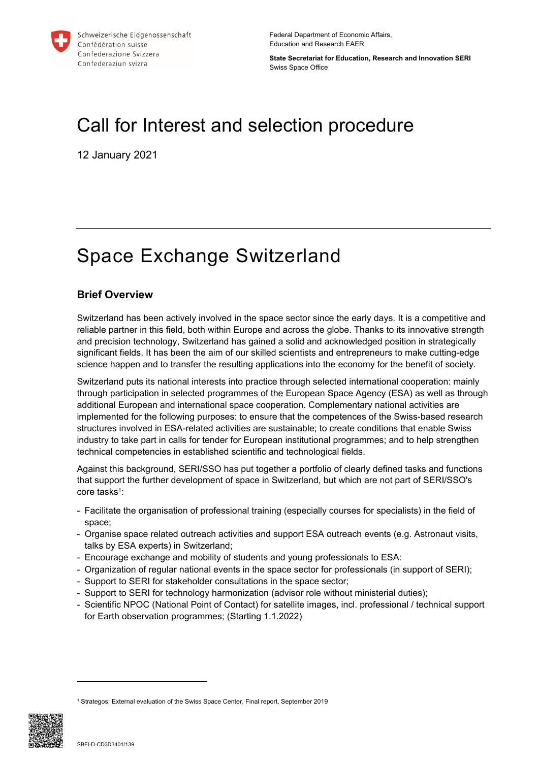

Federal Department of Economic Affairs, Education and Research EAER

**State Secretariat for Education, Research and Innovation SERI** Swiss Space Office

# Call for Interest and selection procedure

12 January 2021

# Space Exchange Switzerland

# **Brief Overview**

Switzerland has been actively involved in the space sector since the early days. It is a competitive and reliable partner in this field, both within Europe and across the globe. Thanks to its innovative strength and precision technology, Switzerland has gained a solid and acknowledged position in strategically significant fields. It has been the aim of our skilled scientists and entrepreneurs to make cutting-edge science happen and to transfer the resulting applications into the economy for the benefit of society.

Switzerland puts its national interests into practice through selected international cooperation: mainly through participation in selected programmes of the European Space Agency (ESA) as well as through additional European and international space cooperation. Complementary national activities are implemented for the following purposes: to ensure that the competences of the Swiss-based research structures involved in ESA-related activities are sustainable; to create conditions that enable Swiss industry to take part in calls for tender for European institutional programmes; and to help strengthen technical competencies in established scientific and technological fields.

Against this background, SERI/SSO has put together a portfolio of clearly defined tasks and functions that support the further development of space in Switzerland, but which are not part of SERI/SSO's core tasks<sup>1</sup>:

- Facilitate the organisation of professional training (especially courses for specialists) in the field of space;
- Organise space related outreach activities and support ESA outreach events (e.g. Astronaut visits, talks by ESA experts) in Switzerland;
- Encourage exchange and mobility of students and young professionals to ESA:
- Organization of regular national events in the space sector for professionals (in support of SERI);
- Support to SERI for stakeholder consultations in the space sector;
- Support to SERI for technology harmonization (advisor role without ministerial duties);
- Scientific NPOC (National Point of Contact) for satellite images, incl. professional / technical support for Earth observation programmes; (Starting 1.1.2022)

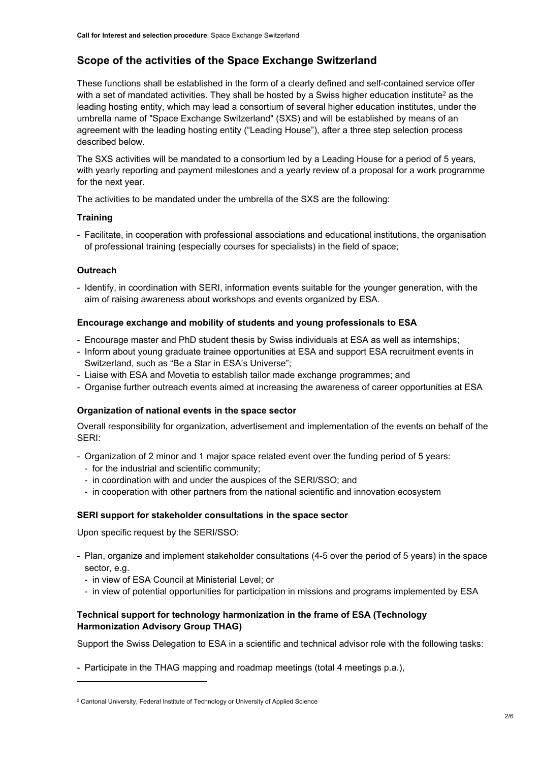# **Scope of the activities of the Space Exchange Switzerland**

These functions shall be established in the form of a clearly defined and self-contained service offer with a set of mandated activities. They shall be hosted by a Swiss higher education institute<sup>2</sup> as the leading hosting entity, which may lead a consortium of several higher education institutes, under the umbrella name of "Space Exchange Switzerland" (SXS) and will be established by means of an agreement with the leading hosting entity ("Leading House"), after a three step selection process described below.

The SXS activities will be mandated to a consortium led by a Leading House for a period of 5 years, with yearly reporting and payment milestones and a yearly review of a proposal for a work programme for the next year.

The activities to be mandated under the umbrella of the SXS are the following:

#### **Training**

- Facilitate, in cooperation with professional associations and educational institutions, the organisation of professional training (especially courses for specialists) in the field of space;

#### **Outreach**

- Identify, in coordination with SERI, information events suitable for the younger generation, with the aim of raising awareness about workshops and events organized by ESA.

#### **Encourage exchange and mobility of students and young professionals to ESA**

- Encourage master and PhD student thesis by Swiss individuals at ESA as well as internships;
- Inform about young graduate trainee opportunities at ESA and support ESA recruitment events in Switzerland, such as "Be a Star in ESA's Universe";
- Liaise with ESA and Movetia to establish tailor made exchange programmes; and
- Organise further outreach events aimed at increasing the awareness of career opportunities at ESA

#### **Organization of national events in the space sector**

Overall responsibility for organization, advertisement and implementation of the events on behalf of the SERI:

- Organization of 2 minor and 1 major space related event over the funding period of 5 years:
	- for the industrial and scientific community;
	- in coordination with and under the auspices of the SERI/SSO; and
	- in cooperation with other partners from the national scientific and innovation ecosystem

#### **SERI support for stakeholder consultations in the space sector**

Upon specific request by the SERI/SSO:

- Plan, organize and implement stakeholder consultations (4-5 over the period of 5 years) in the space sector, e.g.
	- in view of ESA Council at Ministerial Level; or
	- in view of potential opportunities for participation in missions and programs implemented by ESA

## **Technical support for technology harmonization in the frame of ESA (Technology Harmonization Advisory Group THAG)**

Support the Swiss Delegation to ESA in a scientific and technical advisor role with the following tasks:

- Participate in the THAG mapping and roadmap meetings (total 4 meetings p.a.),

<sup>2</sup> Cantonal University, Federal Institute of Technology or University of Applied Science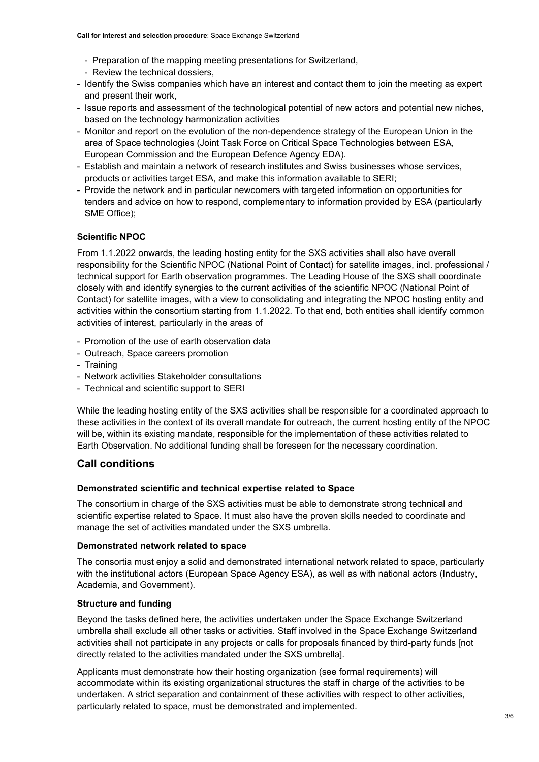- Preparation of the mapping meeting presentations for Switzerland,
- Review the technical dossiers,
- Identify the Swiss companies which have an interest and contact them to join the meeting as expert and present their work,
- Issue reports and assessment of the technological potential of new actors and potential new niches, based on the technology harmonization activities
- Monitor and report on the evolution of the non-dependence strategy of the European Union in the area of Space technologies (Joint Task Force on Critical Space Technologies between ESA, European Commission and the European Defence Agency EDA).
- Establish and maintain a network of research institutes and Swiss businesses whose services, products or activities target ESA, and make this information available to SERI;
- Provide the network and in particular newcomers with targeted information on opportunities for tenders and advice on how to respond, complementary to information provided by ESA (particularly SME Office);

## **Scientific NPOC**

From 1.1.2022 onwards, the leading hosting entity for the SXS activities shall also have overall responsibility for the Scientific NPOC (National Point of Contact) for satellite images, incl. professional / technical support for Earth observation programmes. The Leading House of the SXS shall coordinate closely with and identify synergies to the current activities of the scientific NPOC (National Point of Contact) for satellite images, with a view to consolidating and integrating the NPOC hosting entity and activities within the consortium starting from 1.1.2022. To that end, both entities shall identify common activities of interest, particularly in the areas of

- Promotion of the use of earth observation data
- Outreach, Space careers promotion
- Training
- Network activities Stakeholder consultations
- Technical and scientific support to SERI

While the leading hosting entity of the SXS activities shall be responsible for a coordinated approach to these activities in the context of its overall mandate for outreach, the current hosting entity of the NPOC will be, within its existing mandate, responsible for the implementation of these activities related to Earth Observation. No additional funding shall be foreseen for the necessary coordination.

# **Call conditions**

## **Demonstrated scientific and technical expertise related to Space**

The consortium in charge of the SXS activities must be able to demonstrate strong technical and scientific expertise related to Space. It must also have the proven skills needed to coordinate and manage the set of activities mandated under the SXS umbrella.

#### **Demonstrated network related to space**

The consortia must enjoy a solid and demonstrated international network related to space, particularly with the institutional actors (European Space Agency ESA), as well as with national actors (Industry, Academia, and Government).

## **Structure and funding**

Beyond the tasks defined here, the activities undertaken under the Space Exchange Switzerland umbrella shall exclude all other tasks or activities. Staff involved in the Space Exchange Switzerland activities shall not participate in any projects or calls for proposals financed by third-party funds [not directly related to the activities mandated under the SXS umbrella].

Applicants must demonstrate how their hosting organization (see formal requirements) will accommodate within its existing organizational structures the staff in charge of the activities to be undertaken. A strict separation and containment of these activities with respect to other activities, particularly related to space, must be demonstrated and implemented.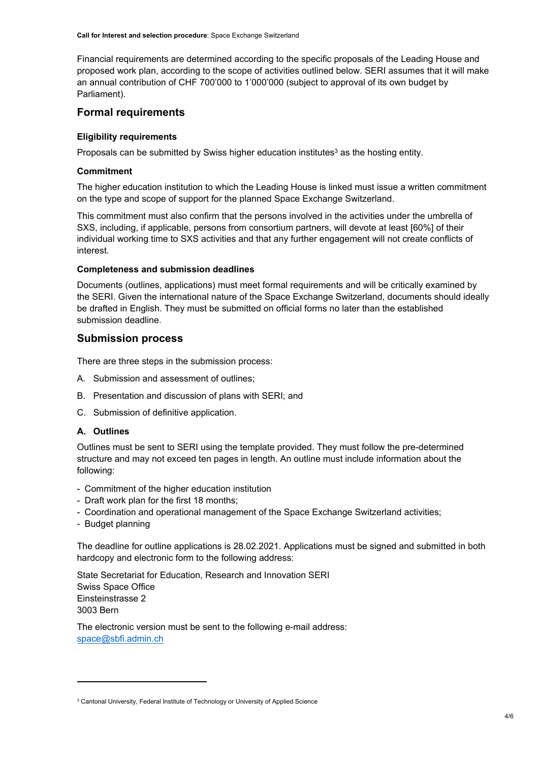Financial requirements are determined according to the specific proposals of the Leading House and proposed work plan, according to the scope of activities outlined below. SERI assumes that it will make an annual contribution of CHF 700'000 to 1'000'000 (subject to approval of its own budget by Parliament).

## **Formal requirements**

### **Eligibility requirements**

Proposals can be submitted by Swiss higher education institutes<sup>3</sup> as the hosting entity.

### **Commitment**

The higher education institution to which the Leading House is linked must issue a written commitment on the type and scope of support for the planned Space Exchange Switzerland.

This commitment must also confirm that the persons involved in the activities under the umbrella of SXS, including, if applicable, persons from consortium partners, will devote at least [60%] of their individual working time to SXS activities and that any further engagement will not create conflicts of interest.

#### **Completeness and submission deadlines**

Documents (outlines, applications) must meet formal requirements and will be critically examined by the SERI. Given the international nature of the Space Exchange Switzerland, documents should ideally be drafted in English. They must be submitted on official forms no later than the established submission deadline.

# **Submission process**

There are three steps in the submission process:

- A. Submission and assessment of outlines;
- B. Presentation and discussion of plans with SERI; and
- C. Submission of definitive application.

#### **A. Outlines**

Outlines must be sent to SERI using the template provided. They must follow the pre-determined structure and may not exceed ten pages in length. An outline must include information about the following:

- Commitment of the higher education institution
- Draft work plan for the first 18 months;
- Coordination and operational management of the Space Exchange Switzerland activities;
- Budget planning

The deadline for outline applications is 28.02.2021. Applications must be signed and submitted in both hardcopy and electronic form to the following address:

State Secretariat for Education, Research and Innovation SERI Swiss Space Office Einsteinstrasse 2 3003 Bern

The electronic version must be sent to the following e-mail address: [space@sbfi.admin.ch](mailto:space@sbfi.admin.ch)

<sup>3</sup> Cantonal University, Federal Institute of Technology or University of Applied Science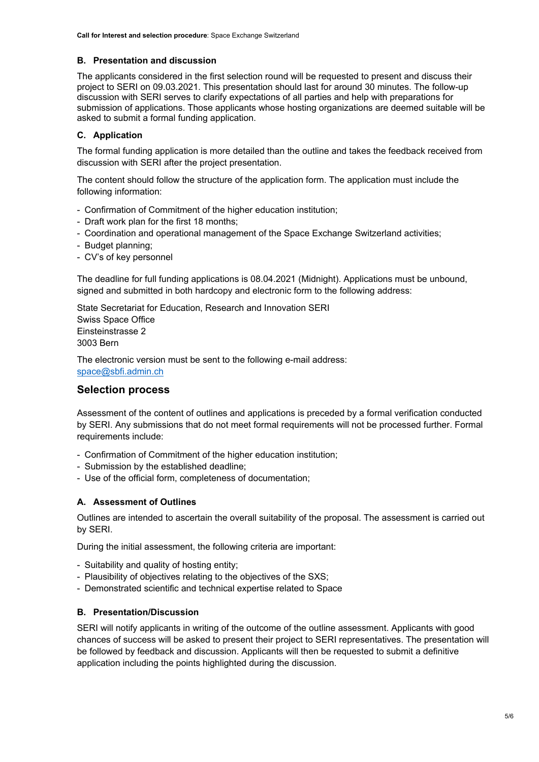## **B. Presentation and discussion**

The applicants considered in the first selection round will be requested to present and discuss their project to SERI on 09.03.2021. This presentation should last for around 30 minutes. The follow-up discussion with SERI serves to clarify expectations of all parties and help with preparations for submission of applications. Those applicants whose hosting organizations are deemed suitable will be asked to submit a formal funding application.

## **C. Application**

The formal funding application is more detailed than the outline and takes the feedback received from discussion with SERI after the project presentation.

The content should follow the structure of the application form. The application must include the following information:

- Confirmation of Commitment of the higher education institution;
- Draft work plan for the first 18 months;
- Coordination and operational management of the Space Exchange Switzerland activities;
- Budget planning;
- CV's of key personnel

The deadline for full funding applications is 08.04.2021 (Midnight). Applications must be unbound, signed and submitted in both hardcopy and electronic form to the following address:

State Secretariat for Education, Research and Innovation SERI Swiss Space Office Einsteinstrasse 2 3003 Bern

The electronic version must be sent to the following e-mail address: [space@sbfi.admin.ch](mailto:space@sbfi.admin.ch)

# **Selection process**

Assessment of the content of outlines and applications is preceded by a formal verification conducted by SERI. Any submissions that do not meet formal requirements will not be processed further. Formal requirements include:

- Confirmation of Commitment of the higher education institution;
- Submission by the established deadline;
- Use of the official form, completeness of documentation;

## **A. Assessment of Outlines**

Outlines are intended to ascertain the overall suitability of the proposal. The assessment is carried out by SERI.

During the initial assessment, the following criteria are important:

- Suitability and quality of hosting entity;
- Plausibility of objectives relating to the objectives of the SXS;
- Demonstrated scientific and technical expertise related to Space

## **B. Presentation/Discussion**

SERI will notify applicants in writing of the outcome of the outline assessment. Applicants with good chances of success will be asked to present their project to SERI representatives. The presentation will be followed by feedback and discussion. Applicants will then be requested to submit a definitive application including the points highlighted during the discussion.